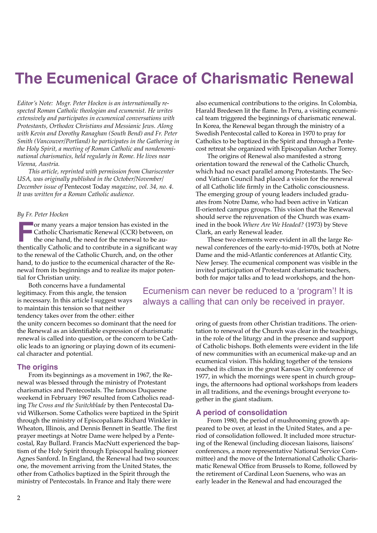## **The Ecumenical Grace of Charismatic Renewal**

*Editor's Note: Msgr. Peter Hocken is an internationally respected Roman Catholic theologian and ecumenist. He writes extensively and participates in ecumenical conversations with Protestants, Orthodox Christians and Messianic Jews. Along with Kevin and Dorothy Ranaghan (South Bend) and Fr. Peter Smith (Vancouver/Portland) he participates in the Gathering in the Holy Spirit, a meeting of Roman Catholic and nondenominational charismatics, held regularly in Rome. He lives near Vienna, Austria.*

*This article, reprinted with permission from Chariscenter USA, was originally published in the October/November/ December issue of* Pentecost Today *magazine, vol. 34, no. 4. It was written for a Roman Catholic audience.*

#### *By Fr. Peter Hocken*

**For many years a major tension has existed in the** Catholic Charismatic Renewal (CCR) between, on the one hand, the need for the renewal to be authentically Catholic and to contribute in a signifcant way to the renewal of the Catholic Church, and, on the other hand, to do justice to the ecumenical character of the Renewal from its beginnings and to realize its major potential for Christian unity.

Both concerns have a fundamental legitimacy. From this angle, the tension is necessary. In this article I suggest ways to maintain this tension so that neither tendency takes over from the other: either

the unity concern becomes so dominant that the need for the Renewal as an identifable expression of charismatic renewal is called into question, or the concern to be Catholic leads to an ignoring or playing down of its ecumenical character and potential.

### **The origins**

From its beginnings as a movement in 1967, the Renewal was blessed through the ministry of Protestant charismatics and Pentecostals. The famous Duquesne weekend in February 1967 resulted from Catholics reading *The Cross and the Switchblade* by then Pentecostal David Wilkerson. Some Catholics were baptized in the Spirit through the ministry of Episcopalians Richard Winkler in Wheaton, Illinois, and Dennis Bennett in Seattle. The frst prayer meetings at Notre Dame were helped by a Pentecostal, Ray Bullard. Francis MacNutt experienced the baptism of the Holy Spirit through Episcopal healing pioneer Agnes Sanford. In England, the Renewal had two sources: one, the movement arriving from the United States, the other from Catholics baptized in the Spirit through the ministry of Pentecostals. In France and Italy there were

also ecumenical contributions to the origins. In Colombia, Harald Bredesen lit the fame. In Peru, a visiting ecumenical team triggered the beginnings of charismatic renewal. In Korea, the Renewal began through the ministry of a Swedish Pentecostal called to Korea in 1970 to pray for Catholics to be baptized in the Spirit and through a Pentecost retreat she organized with Episcopalian Archer Torrey.

The origins of Renewal also manifested a strong orientation toward the renewal of the Catholic Church, which had no exact parallel among Protestants. The Second Vatican Council had placed a vision for the renewal of all Catholic life frmly in the Catholic consciousness. The emerging group of young leaders included graduates from Notre Dame, who had been active in Vatican II-oriented campus groups. This vision that the Renewal should serve the rejuvenation of the Church was examined in the book *Where Are We Headed?* (1973) by Steve Clark, an early Renewal leader.

These two elements were evident in all the large Renewal conferences of the early-to-mid-1970s, both at Notre Dame and the mid-Atlantic conferences at Atlantic City, New Jersey. The ecumenical component was visible in the invited participation of Protestant charismatic teachers, both for major talks and to lead workshops, and the hon-

Ecumenism can never be reduced to a 'program'! It is always a calling that can only be received in prayer.

> oring of guests from other Christian traditions. The orientation to renewal of the Church was clear in the teachings, in the role of the liturgy and in the presence and support of Catholic bishops. Both elements were evident in the life of new communities with an ecumenical make-up and an ecumenical vision. This holding together of the tensions reached its climax in the great Kansas City conference of 1977, in which the mornings were spent in church groupings, the afternoons had optional workshops from leaders in all traditions, and the evenings brought everyone together in the giant stadium.

### **A period of consolidation**

From 1980, the period of mushrooming growth appeared to be over, at least in the United States, and a period of consolidation followed. It included more structuring of the Renewal (including diocesan liaisons, liaisons' conferences, a more representative National Service Committee) and the move of the International Catholic Charismatic Renewal Office from Brussels to Rome, followed by the retirement of Cardinal Leon Suenens, who was an early leader in the Renewal and had encouraged the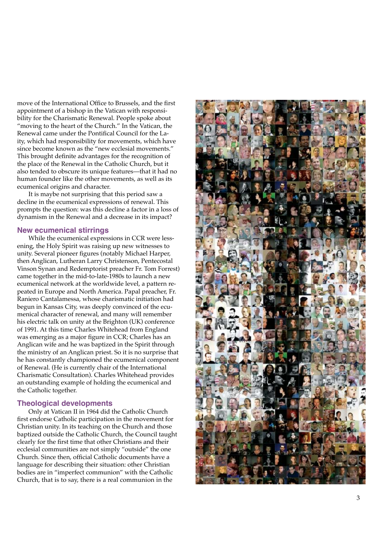move of the International Office to Brussels, and the first appointment of a bishop in the Vatican with responsi bility for the Charismatic Renewal. People spoke about "moving to the heart of the Church." In the Vatican, the Renewal came under the Pontifcal Council for the La ity, which had responsibility for movements, which have since become known as the "new ecclesial movements." This brought defnite advantages for the recognition of the place of the Renewal in the Catholic Church, but it also tended to obscure its unique features—that it had no human founder like the other movements, as well as its ecumenical origins and character.

It is maybe not surprising that this period saw a decline in the ecumenical expressions of renewal. This prompts the question: was this decline a factor in a loss of dynamism in the Renewal and a decrease in its impact?

### **New ecumenical stirrings**

While the ecumenical expressions in CCR were less ening, the Holy Spirit was raising up new witnesses to unity. Several pioneer fgures (notably Michael Harper, then Anglican, Lutheran Larry Christenson, Pentecostal Vinson Synan and Redemptorist preacher Fr. Tom Forrest) came together in the mid-to-late-1980s to launch a new ecumenical network at the worldwide level, a pattern re peated in Europe and North America. Papal preacher, Fr. Raniero Cantalamessa, whose charismatic initiation had begun in Kansas City, was deeply convinced of the ecu menical character of renewal, and many will remember his electric talk on unity at the Brighton (UK) conference of 1991. At this time Charles Whitehead from England was emerging as a major figure in CCR; Charles has an Anglican wife and he was baptized in the Spirit through the ministry of an Anglican priest. So it is no surprise that he has constantly championed the ecumenical component of Renewal. (He is currently chair of the International Charismatic Consultation). Charles Whitehead provides an outstanding example of holding the ecumenical and the Catholic together.

### **Theological developments**

Only at Vatican II in 1964 did the Catholic Church frst endorse Catholic participation in the movement for Christian unity. In its teaching on the Church and those baptized outside the Catholic Church, the Council taught clearly for the frst time that other Christians and their ecclesial communities are not simply "outside" the one Church. Since then, official Catholic documents have a language for describing their situation: other Christian bodies are in "imperfect communion" with the Catholic Church, that is to say, there is a real communion in the